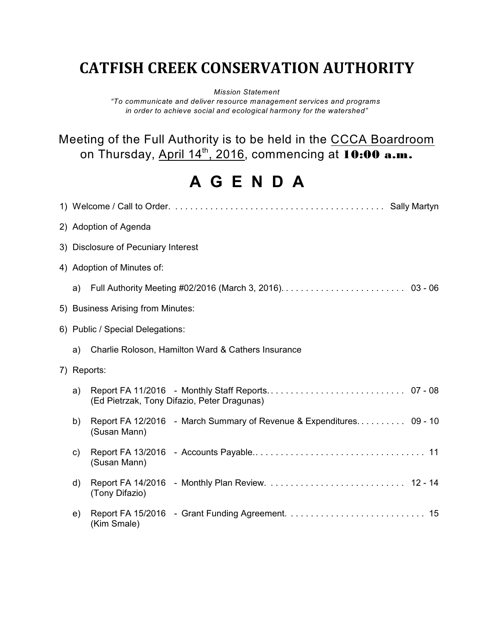## **CATFISH CREEK CONSERVATION AUTHORITY**

*Mission Statement*

*"To communicate and deliver resource management services and programs in order to achieve social and ecological harmony for the watershed"*

Meeting of the Full Authority is to be held in the CCCA Boardroom on Thursday, <u>April 14<sup>th</sup>, 2016</u>, commencing at **10:00 a.m.** 

## **A G E N D A**

| 2) Adoption of Agenda               |                                                                                     |  |  |  |
|-------------------------------------|-------------------------------------------------------------------------------------|--|--|--|
| 3) Disclosure of Pecuniary Interest |                                                                                     |  |  |  |
| 4) Adoption of Minutes of:          |                                                                                     |  |  |  |
| a)                                  |                                                                                     |  |  |  |
| 5) Business Arising from Minutes:   |                                                                                     |  |  |  |
| 6) Public / Special Delegations:    |                                                                                     |  |  |  |
| a)                                  | Charlie Roloson, Hamilton Ward & Cathers Insurance                                  |  |  |  |
| 7) Reports:                         |                                                                                     |  |  |  |
| a)                                  | (Ed Pietrzak, Tony Difazio, Peter Dragunas)                                         |  |  |  |
| b)                                  | Report FA 12/2016 - March Summary of Revenue & Expenditures 09 - 10<br>(Susan Mann) |  |  |  |
| c)                                  | (Susan Mann)                                                                        |  |  |  |
| d)                                  | (Tony Difazio)                                                                      |  |  |  |
| e)                                  | (Kim Smale)                                                                         |  |  |  |